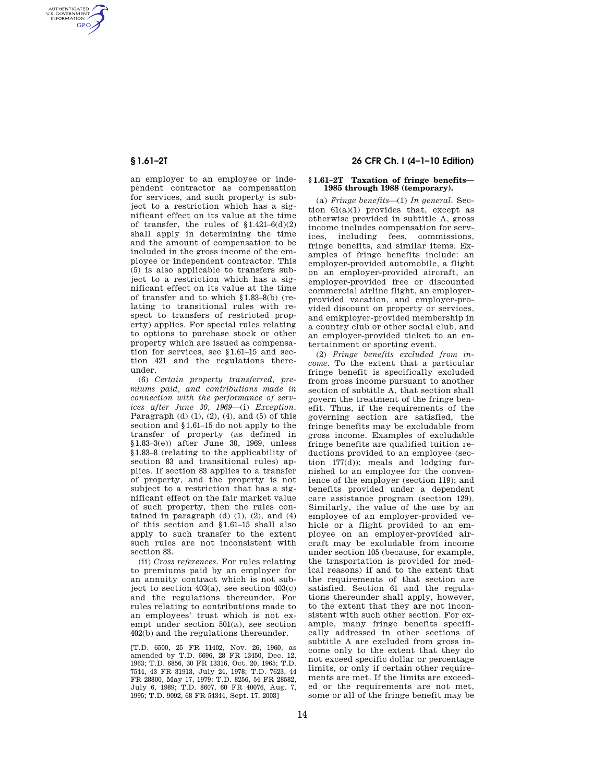AUTHENTICATED<br>U.S. GOVERNMENT<br>INFORMATION **GPO** 

> an employer to an employee or independent contractor as compensation for services, and such property is subject to a restriction which has a significant effect on its value at the time of transfer, the rules of  $$1.421-6(d)(2)$ shall apply in determining the time and the amount of compensation to be included in the gross income of the employee or independent contractor. This (5) is also applicable to transfers subject to a restriction which has a significant effect on its value at the time of transfer and to which §1.83–8(b) (relating to transitional rules with respect to transfers of restricted property) applies. For special rules relating to options to purchase stock or other property which are issued as compensation for services, see §1.61–15 and section 421 and the regulations thereunder.

> (6) *Certain property transferred, premiums paid, and contributions made in connection with the performance of services after June 30, 1969*—(i) *Exception.*  Paragraph (d) (1), (2), (4), and (5) of this section and §1.61–15 do not apply to the transfer of property (as defined in §1.83–3(e)) after June 30, 1969, unless §1.83–8 (relating to the applicability of section 83 and transitional rules) applies. If section 83 applies to a transfer of property, and the property is not subject to a restriction that has a significant effect on the fair market value of such property, then the rules contained in paragraph  $(d)$   $(1)$ ,  $(2)$ , and  $(4)$ of this section and §1.61–15 shall also apply to such transfer to the extent such rules are not inconsistent with section 83.

> (ii) *Cross references.* For rules relating to premiums paid by an employer for an annuity contract which is not subject to section  $403(a)$ , see section  $403(c)$ and the regulations thereunder. For rules relating to contributions made to an employees' trust which is not exempt under section 501(a), see section 402(b) and the regulations thereunder.

> [T.D. 6500, 25 FR 11402, Nov. 26, 1960, as amended by T.D. 6696, 28 FR 13450, Dec. 12, 1963; T.D. 6856, 30 FR 13316, Oct. 20, 1965; T.D. 7544, 43 FR 31913, July 24, 1978; T.D. 7623, 44 FR 28800, May 17, 1979; T.D. 8256, 54 FR 28582, July 6, 1989; T.D. 8607, 60 FR 40076, Aug. 7, 1995; T.D. 9092, 68 FR 54344, Sept. 17, 2003]

## **§ 1.61–2T 26 CFR Ch. I (4–1–10 Edition)**

## **§ 1.61–2T Taxation of fringe benefits— 1985 through 1988 (temporary).**

(a) *Fringe benefits*—(1) *In general.* Section 61(a)(1) provides that, except as otherwise provided in subtitle A, gross income includes compensation for services, including fees, commissions, fringe benefits, and similar items. Examples of fringe benefits include: an employer-provided automobile, a flight on an employer-provided aircraft, an employer-provided free or discounted commercial airline flight, an employerprovided vacation, and employer-provided discount on property or services, and emkployer-provided membership in a country club or other social club, and an employer-provided ticket to an entertainment or sporting event.

(2) *Fringe benefits excluded from income.* To the extent that a particular fringe benefit is specifically excluded from gross income pursuant to another section of subtitle A, that section shall govern the treatment of the fringe benefit. Thus, if the requirements of the governing section are satisfied, the fringe benefits may be excludable from gross income. Examples of excludable fringe benefits are qualified tuition reductions provided to an employee (section  $177(d)$ ; meals and lodging furnished to an employee for the convenience of the employer (section 119); and benefits provided under a dependent care assistance program (section 129). Similarly, the value of the use by an employee of an employer-provided vehicle or a flight provided to an employee on an employer-provided aircraft may be excludable from income under section 105 (because, for example, the trnsportation is provided for medical reasons) if and to the extent that the requirements of that section are satisfied. Section 61 and the regulations thereunder shall apply, however, to the extent that they are not inconsistent with such other section. For example, many fringe benefits specifically addressed in other sections of subtitle A are excluded from gross income only to the extent that they do not exceed specific dollar or percentage limits, or only if certain other requirements are met. If the limits are exceeded or the requirements are not met, some or all of the fringe benefit may be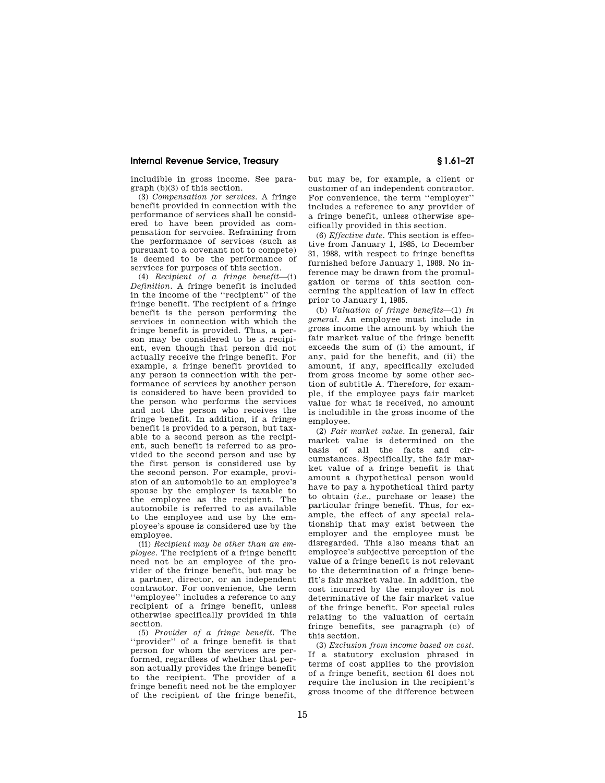includible in gross income. See paragraph (b)(3) of this section.

(3) *Compensation for services.* A fringe benefit provided in connection with the performance of services shall be considered to have been provided as compensation for servcies. Refraining from the performance of services (such as pursuant to a covenant not to compete) is deemed to be the performance of services for purposes of this section.

(4) *Recipient of a fringe benefit*—(i) *Definition.* A fringe benefit is included in the income of the ''recipient'' of the fringe benefit. The recipient of a fringe benefit is the person performing the services in connection with which the fringe benefit is provided. Thus, a person may be considered to be a recipient, even though that person did not actually receive the fringe benefit. For example, a fringe benefit provided to any person is connection with the performance of services by another person is considered to have been provided to the person who performs the services and not the person who receives the fringe benefit. In addition, if a fringe benefit is provided to a person, but taxable to a second person as the recipient, such benefit is referred to as provided to the second person and use by the first person is considered use by the second person. For example, provision of an automobile to an employee's spouse by the employer is taxable to the employee as the recipient. The automobile is referred to as available to the employee and use by the employee's spouse is considered use by the employee.

(ii) *Recipient may be other than an employee.* The recipient of a fringe benefit need not be an employee of the provider of the fringe benefit, but may be a partner, director, or an independent contractor. For convenience, the term ''employee'' includes a reference to any recipient of a fringe benefit, unless otherwise specifically provided in this section.

(5) *Provider of a fringe benefit.* The ''provider'' of a fringe benefit is that person for whom the services are performed, regardless of whether that person actually provides the fringe benefit to the recipient. The provider of a fringe benefit need not be the employer of the recipient of the fringe benefit,

but may be, for example, a client or customer of an independent contractor. For convenience, the term ''employer'' includes a reference to any provider of a fringe benefit, unless otherwise specifically provided in this section.

(6) *Effective date.* This section is effective from January 1, 1985, to December 31, 1988, with respect to fringe benefits furnished before January 1, 1989. No inference may be drawn from the promulgation or terms of this section concerning the application of law in effect prior to January 1, 1985.

(b) *Valuation of fringe benefits*—(1) *In general.* An employee must include in gross income the amount by which the fair market value of the fringe benefit exceeds the sum of (i) the amount, if any, paid for the benefit, and (ii) the amount, if any, specifically excluded from gross income by some other section of subtitle A. Therefore, for example, if the employee pays fair market value for what is received, no amount is includible in the gross income of the employee.

(2) *Fair market value.* In general, fair market value is determined on the basis of all the facts and circumstances. Specifically, the fair market value of a fringe benefit is that amount a (hypothetical person would have to pay a hypothetical third party to obtain (*i.e.*, purchase or lease) the particular fringe benefit. Thus, for example, the effect of any special relationship that may exist between the employer and the employee must be disregarded. This also means that an employee's subjective perception of the value of a fringe benefit is not relevant to the determination of a fringe benefit's fair market value. In addition, the cost incurred by the employer is not determinative of the fair market value of the fringe benefit. For special rules relating to the valuation of certain fringe benefits, see paragraph (c) of this section.

(3) *Exclusion from income based on cost.*  If a statutory exclusion phrased in terms of cost applies to the provision of a fringe benefit, section 61 does not require the inclusion in the recipient's gross income of the difference between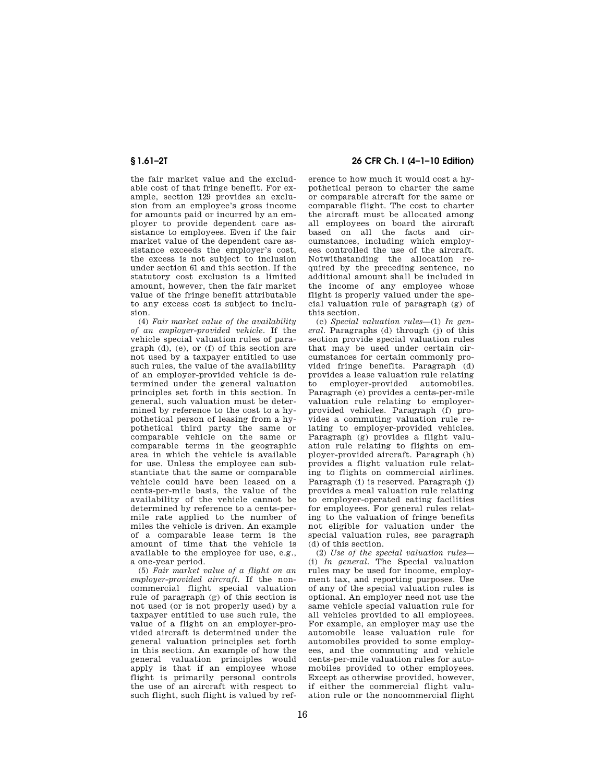the fair market value and the excludable cost of that fringe benefit. For example, section 129 provides an exclusion from an employee's gross income for amounts paid or incurred by an employer to provide dependent care assistance to employees. Even if the fair market value of the dependent care assistance exceeds the employer's cost, the excess is not subject to inclusion under section 61 and this section. If the statutory cost exclusion is a limited amount, however, then the fair market. value of the fringe benefit attributable to any excess cost is subject to inclusion.

(4) *Fair market value of the availability of an employer-provided vehicle.* If the vehicle special valuation rules of paragraph (d), (e), or (f) of this section are not used by a taxpayer entitled to use such rules, the value of the availability of an employer-provided vehicle is determined under the general valuation principles set forth in this section. In general, such valuation must be determined by reference to the cost to a hypothetical person of leasing from a hypothetical third party the same or comparable vehicle on the same or comparable terms in the geographic area in which the vehicle is available for use. Unless the employee can substantiate that the same or comparable vehicle could have been leased on a cents-per-mile basis, the value of the availability of the vehicle cannot be determined by reference to a cents-permile rate applied to the number of miles the vehicle is driven. An example of a comparable lease term is the amount of time that the vehicle is available to the employee for use, e.g., a one-year period.

(5) *Fair market value of a flight on an employer-provided aircraft.* If the noncommercial flight special valuation rule of paragraph (g) of this section is not used (or is not properly used) by a taxpayer entitled to use such rule, the value of a flight on an employer-provided aircraft is determined under the general valuation principles set forth in this section. An example of how the general valuation principles would apply is that if an employee whose flight is primarily personal controls the use of an aircraft with respect to such flight, such flight is valued by ref-

## **§ 1.61–2T 26 CFR Ch. I (4–1–10 Edition)**

erence to how much it would cost a hypothetical person to charter the same or comparable aircraft for the same or comparable flight. The cost to charter the aircraft must be allocated among all employees on board the aircraft based on all the facts and circumstances, including which employees controlled the use of the aircraft. Notwithstanding the allocation required by the preceding sentence, no additional amount shall be included in the income of any employee whose flight is properly valued under the special valuation rule of paragraph (g) of this section.

(c) *Special valuation rules*—(1) *In general.* Paragraphs (d) through (j) of this section provide special valuation rules that may be used under certain circumstances for certain commonly provided fringe benefits. Paragraph (d) provides a lease valuation rule relating to employer-provided automobiles. Paragraph (e) provides a cents-per-mile valuation rule relating to employerprovided vehicles. Paragraph (f) provides a commuting valuation rule relating to employer-provided vehicles. Paragraph (g) provides a flight valuation rule relating to flights on employer-provided aircraft. Paragraph (h) provides a flight valuation rule relating to flights on commercial airlines. Paragraph (i) is reserved. Paragraph (j) provides a meal valuation rule relating to employer-operated eating facilities for employees. For general rules relating to the valuation of fringe benefits not eligible for valuation under the special valuation rules, see paragraph (d) of this section.

(2) *Use of the special valuation rules*— (i) *In general.* The Special valuation rules may be used for income, employment tax, and reporting purposes. Use of any of the special valuation rules is optional. An employer need not use the same vehicle special valuation rule for all vehicles provided to all employees. For example, an employer may use the automobile lease valuation rule for automobiles provided to some employees, and the commuting and vehicle cents-per-mile valuation rules for automobiles provided to other employees. Except as otherwise provided, however, if either the commercial flight valuation rule or the noncommercial flight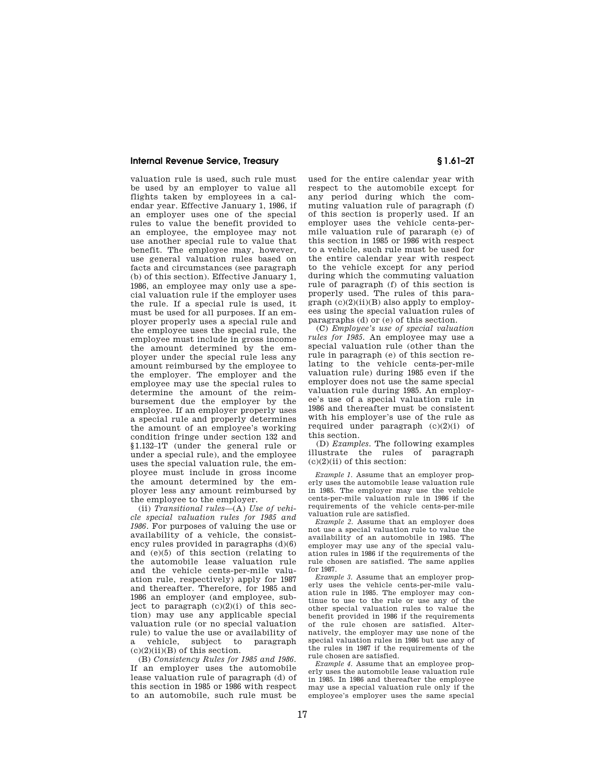valuation rule is used, such rule must be used by an employer to value all flights taken by employees in a calendar year. Effective January 1, 1986, if an employer uses one of the special rules to value the benefit provided to an employee, the employee may not use another special rule to value that benefit. The employee may, however, use general valuation rules based on facts and circumstances (see paragraph (b) of this section). Effective January 1, 1986, an employee may only use a special valuation rule if the employer uses the rule. If a special rule is used, it must be used for all purposes. If an employer properly uses a special rule and the employee uses the special rule, the employee must include in gross income the amount determined by the employer under the special rule less any amount reimbursed by the employee to the employer. The employer and the employee may use the special rules to determine the amount of the reimbursement due the employer by the employee. If an employer properly uses a special rule and properly determines the amount of an employee's working condition fringe under section 132 and §1.132–1T (under the general rule or under a special rule), and the employee uses the special valuation rule, the employee must include in gross income the amount determined by the employer less any amount reimbursed by the employee to the employer.

(ii) *Transitional rules*—(A) *Use of vehicle special valuation rules for 1985 and 1986.* For purposes of valuing the use or availability of a vehicle, the consistency rules provided in paragraphs  $(d)(6)$ and (e)(5) of this section (relating to the automobile lease valuation rule and the vehicle cents-per-mile valuation rule, respectively) apply for 1987 and thereafter. Therefore, for 1985 and 1986 an employer (and employee, subject to paragraph  $(c)(2)(i)$  of this section) may use any applicable special valuation rule (or no special valuation rule) to value the use or availability of a vehicle, subject to paragraph  $(c)(2)(ii)(B)$  of this section.

(B) *Consistency Rules for 1985 and 1986.*  If an employer uses the automobile lease valuation rule of paragraph (d) of this section in 1985 or 1986 with respect to an automobile, such rule must be

used for the entire calendar year with respect to the automobile except for any period during which the commuting valuation rule of paragraph (f) of this section is properly used. If an employer uses the vehicle cents-permile valuation rule of pararaph (e) of this section in 1985 or 1986 with respect to a vehicle, such rule must be used for the entire calendar year with respect to the vehicle except for any period during which the commuting valuation rule of paragraph (f) of this section is properly used. The rules of this para $graph (c)(2)(ii)(B)$  also apply to employees using the special valuation rules of paragraphs (d) or (e) of this section.

(C) *Employee's use of special valuation rules for 1985.* An employee may use a special valuation rule (other than the rule in paragraph (e) of this section relating to the vehicle cents-per-mile valuation rule) during 1985 even if the employer does not use the same special valuation rule during 1985. An employee's use of a special valuation rule in 1986 and thereafter must be consistent with his employer's use of the rule as required under paragraph (c)(2)(i) of this section.

(D) *Examples.* The following examples illustrate the rules of paragraph  $(c)(2)(ii)$  of this section:

*Example 1.* Assume that an employer properly uses the automobile lease valuation rule in 1985. The employer may use the vehicle cents-per-mile valuation rule in 1986 if the requirements of the vehicle cents-per-mile valuation rule are satisfied.

*Example 2.* Assume that an employer does not use a special valuation rule to value the availability of an automobile in 1985. The employer may use any of the special valuation rules in 1986 if the requirements of the rule chosen are satisfied. The same applies for 1987.

*Example 3.* Assume that an employer properly uses the vehicle cents-per-mile valuation rule in 1985. The employer may continue to use to the rule or use any of the other special valuation rules to value the benefit provided in 1986 if the requirements of the rule chosen are satisfied. Alternatively, the employer may use none of the special valuation rules in 1986 but use any of the rules in 1987 if the requirements of the rule chosen are satisfied.

*Example 4.* Assume that an employee properly uses the automobile lease valuation rule in 1985. In 1986 and thereafter the employee may use a special valuation rule only if the employee's employer uses the same special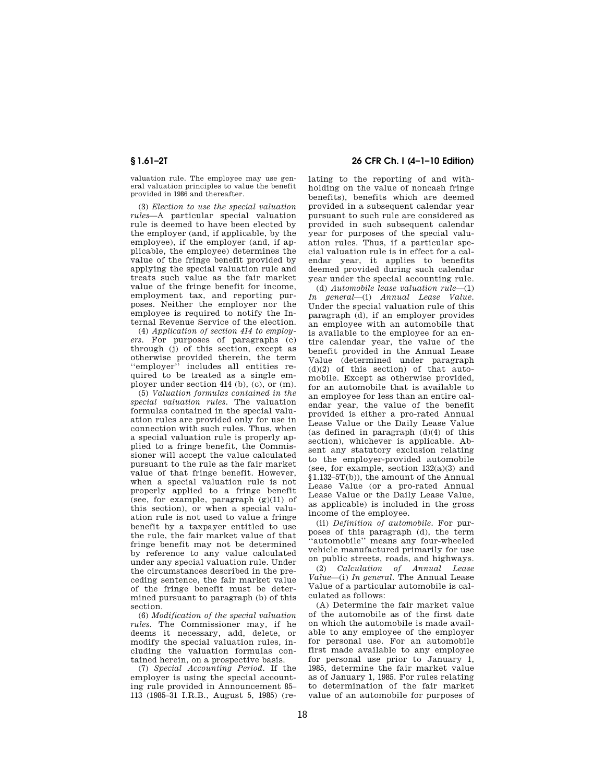valuation rule. The employee may use general valuation principles to value the benefit provided in 1986 and thereafter.

(3) *Election to use the special valuation rules*—A particular special valuation rule is deemed to have been elected by the employer (and, if applicable, by the employee), if the employer (and, if applicable, the employee) determines the value of the fringe benefit provided by applying the special valuation rule and treats such value as the fair market value of the fringe benefit for income, employment tax, and reporting purposes. Neither the employer nor the employee is required to notify the Internal Revenue Service of the election.

(4) *Application of section 414 to employers.* For purposes of paragraphs (c) through (j) of this section, except as otherwise provided therein, the term ''employer'' includes all entities required to be treated as a single employer under section 414 (b), (c), or (m).

(5) *Valuation formulas contained in the special valuation rules.* The valuation formulas contained in the special valuation rules are provided only for use in connection with such rules. Thus, when a special valuation rule is properly applied to a fringe benefit, the Commissioner will accept the value calculated pursuant to the rule as the fair market value of that fringe benefit. However, when a special valuation rule is not properly applied to a fringe benefit (see, for example, paragraph (g)(11) of this section), or when a special valuation rule is not used to value a fringe benefit by a taxpayer entitled to use the rule, the fair market value of that fringe benefit may not be determined by reference to any value calculated under any special valuation rule. Under the circumstances described in the preceding sentence, the fair market value of the fringe benefit must be determined pursuant to paragraph (b) of this section.

(6) *Modification of the special valuation rules.* The Commissioner may, if he deems it necessary, add, delete, or modify the special valuation rules, including the valuation formulas contained herein, on a prospective basis.

(7) *Special Accounting Period.* If the employer is using the special accounting rule provided in Announcement 85– 113 (1985–31 I.R.B., August 5, 1985) (re-

**§ 1.61–2T 26 CFR Ch. I (4–1–10 Edition)** 

lating to the reporting of and withholding on the value of noncash fringe benefits), benefits which are deemed provided in a subsequent calendar year pursuant to such rule are considered as provided in such subsequent calendar year for purposes of the special valuation rules. Thus, if a particular special valuation rule is in effect for a calendar year, it applies to benefits deemed provided during such calendar year under the special accounting rule.

(d) *Automobile lease valuation rule*—(1) *In general*—(i) *Annual Lease Value.*  Under the special valuation rule of this paragraph (d), if an employer provides an employee with an automobile that is available to the employee for an entire calendar year, the value of the benefit provided in the Annual Lease Value (determined under paragraph  $(d)(2)$  of this section) of that automobile. Except as otherwise provided, for an automobile that is available to an employee for less than an entire calendar year, the value of the benefit provided is either a pro-rated Annual Lease Value or the Daily Lease Value (as defined in paragraph  $(d)(4)$  of this section), whichever is applicable. Absent any statutory exclusion relating to the employer-provided automobile (see, for example, section  $132(a)(3)$  and §1.132–5T(b)), the amount of the Annual Lease Value (or a pro-rated Annual Lease Value or the Daily Lease Value, as applicable) is included in the gross income of the employee.

(ii) *Definition of automobile.* For purposes of this paragraph (d), the term ''automobile'' means any four-wheeled vehicle manufactured primarily for use on public streets, roads, and highways.

(2) *Calculation of Annual Lease Value*—(i) *In general.* The Annual Lease Value of a particular automobile is calculated as follows:

(A) Determine the fair market value of the automobile as of the first date on which the automobile is made available to any employee of the employer for personal use. For an automobile first made available to any employee for personal use prior to January 1, 1985, determine the fair market value as of January 1, 1985. For rules relating to determination of the fair market value of an automobile for purposes of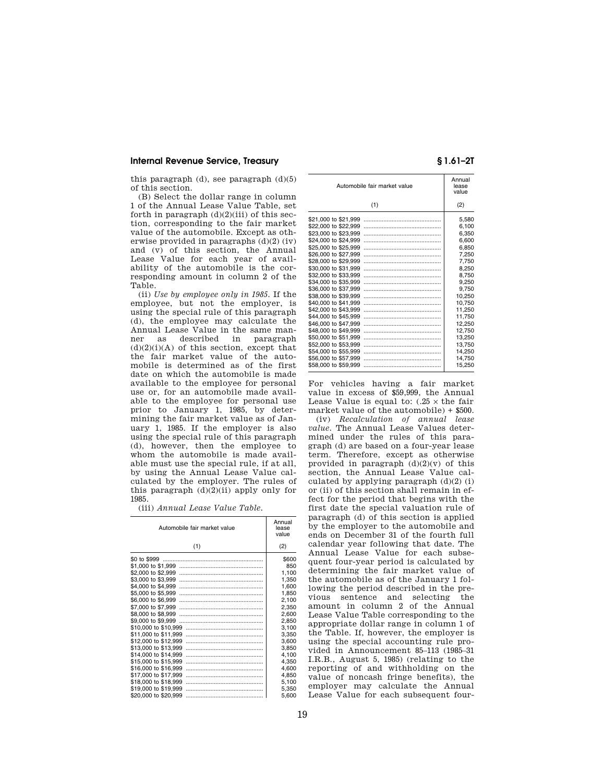this paragraph  $(d)$ , see paragraph  $(d)(5)$ of this section.

(B) Select the dollar range in column 1 of the Annual Lease Value Table, set forth in paragraph  $(d)(2)(iii)$  of this section, corresponding to the fair market value of the automobile. Except as otherwise provided in paragraphs (d)(2) (iv) and (v) of this section, the Annual Lease Value for each year of availability of the automobile is the corresponding amount in column 2 of the Table.

(ii) *Use by employee only in 1985.* If the employee, but not the employer, is using the special rule of this paragraph (d), the employee may calculate the Annual Lease Value in the same manner as described in paragraph  $(d)(2)(i)(A)$  of this section, except that the fair market value of the automobile is determined as of the first date on which the automobile is made available to the employee for personal use or, for an automobile made available to the employee for personal use prior to January 1, 1985, by determining the fair market value as of January 1, 1985. If the employer is also using the special rule of this paragraph (d), however, then the employee to whom the automobile is made available must use the special rule, if at all, by using the Annual Lease Value calculated by the employer. The rules of this paragraph  $(d)(2)(ii)$  apply only for 1985.

(iii) *Annual Lease Value Table.* 

| Automobile fair market value | Annual<br>lease<br>value |
|------------------------------|--------------------------|
| (1)                          | (2)                      |
| \$0 to \$999                 | \$600                    |
| \$1,000 to \$1,999           | 850                      |
| \$2,000 to \$2,999           | 1,100                    |
| \$3,000 to \$3,999           | 1.350                    |
| \$4,000 to \$4,999           | 1,600                    |
| \$5,000 to \$5,999           | 1,850                    |
| \$6,000 to \$6,999           | 2.100                    |
| \$7,000 to \$7,999           | 2,350                    |
| \$8,000 to \$8,999           | 2.600                    |
| \$9,000 to \$9,999           | 2,850                    |
| \$10,000 to \$10,999         | 3,100                    |
| \$11,000 to \$11,999         | 3.350                    |
| \$12,000 to \$12,999         | 3,600                    |
| \$13,000 to \$13,999         | 3,850                    |
| \$14,000 to \$14,999         | 4.100                    |
| \$15,000 to \$15,999         | 4,350                    |
| \$16,000 to \$16,999         | 4.600                    |
| \$17,000 to \$17,999         | 4,850                    |
| \$18,000 to \$18,999         | 5,100                    |
| \$19,000 to \$19,999         | 5,350                    |
| \$20,000 to \$20,999         | 5,600                    |

|                      | Automobile fair market value | Annual<br>lease<br>value |
|----------------------|------------------------------|--------------------------|
|                      | (1)                          | (2)                      |
| \$21,000 to \$21,999 |                              | 5,580                    |
| \$22,000 to \$22,999 |                              | 6.100                    |
| \$23,000 to \$23,999 |                              | 6,350                    |
| \$24,000 to \$24,999 |                              | 6,600                    |
| \$25,000 to \$25,999 |                              | 6,850                    |
| \$26,000 to \$27,999 |                              | 7,250                    |
| \$28,000 to \$29,999 |                              | 7,750                    |
| \$30,000 to \$31,999 |                              | 8,250                    |
| \$32,000 to \$33,999 |                              | 8,750                    |
| \$34,000 to \$35,999 |                              | 9,250                    |
| \$36,000 to \$37,999 |                              | 9,750                    |
| \$38,000 to \$39,999 |                              | 10.250                   |
| \$40,000 to \$41,999 |                              | 10,750                   |
| \$42,000 to \$43,999 |                              | 11,250                   |
| \$44,000 to \$45,999 |                              | 11,750                   |
| \$46,000 to \$47,999 |                              | 12,250                   |
| \$48,000 to \$49,999 |                              | 12,750                   |
| \$50,000 to \$51,999 |                              | 13.250                   |
| \$52,000 to \$53,999 |                              | 13,750                   |
| \$54,000 to \$55,999 |                              | 14,250                   |
| \$56,000 to \$57,999 |                              | 14,750                   |
| \$58,000 to \$59,999 |                              | 15,250                   |

For vehicles having a fair market value in excess of \$59,999, the Annual Lease Value is equal to:  $(.25 \times$  the fair market value of the automobile) + \$500.

(iv) *Recalculation of annual lease value.* The Annual Lease Values determined under the rules of this paragraph (d) are based on a four-year lease term. Therefore, except as otherwise provided in paragraph  $(d)(2)(v)$  of this section, the Annual Lease Value calculated by applying paragraph  $(d)(2)$  (i) or (ii) of this section shall remain in effect for the period that begins with the first date the special valuation rule of paragraph (d) of this section is applied by the employer to the automobile and ends on December 31 of the fourth full calendar year following that date. The Annual Lease Value for each subsequent four-year period is calculated by determining the fair market value of the automobile as of the January 1 following the period described in the previous sentence and selecting the amount in column 2 of the Annual Lease Value Table corresponding to the appropriate dollar range in column 1 of the Table. If, however, the employer is using the special accounting rule provided in Announcement 85–113 (1985–31 I.R.B., August 5, 1985) (relating to the reporting of and withholding on the value of noncash fringe benefits), the employer may calculate the Annual Lease Value for each subsequent four-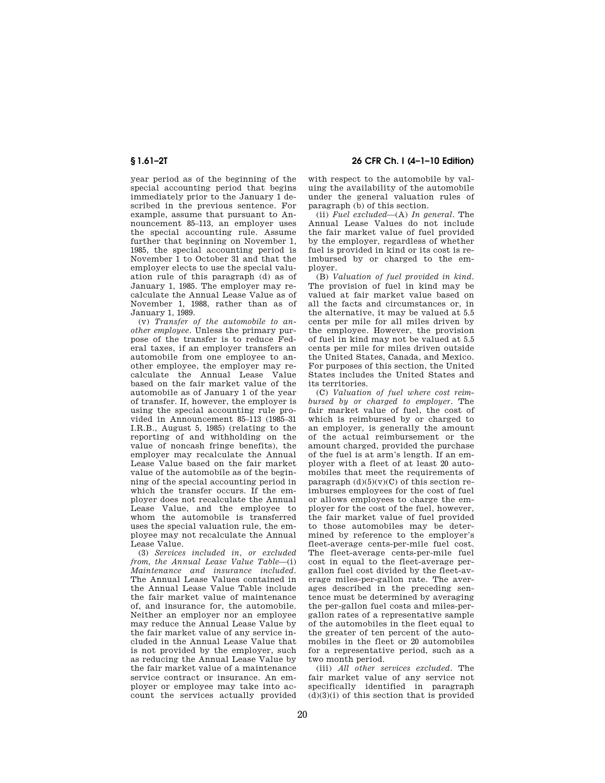year period as of the beginning of the special accounting period that begins immediately prior to the January 1 described in the previous sentence. For example, assume that pursuant to Announcement 85–113, an employer uses the special accounting rule. Assume further that beginning on November 1, 1985, the special accounting period is November 1 to October 31 and that the employer elects to use the special valuation rule of this paragraph (d) as of January 1, 1985. The employer may recalculate the Annual Lease Value as of November 1, 1988, rather than as of January 1, 1989.

(v) *Transfer of the automobile to another employee.* Unless the primary purpose of the transfer is to reduce Federal taxes, if an employer transfers an automobile from one employee to another employee, the employer may recalculate the Annual Lease Value based on the fair market value of the automobile as of January 1 of the year of transfer. If, however, the employer is using the special accounting rule provided in Announcement 85–113 (1985–31 I.R.B., August 5, 1985) (relating to the reporting of and withholding on the value of noncash fringe benefits), the employer may recalculate the Annual Lease Value based on the fair market value of the automobile as of the beginning of the special accounting period in which the transfer occurs. If the employer does not recalculate the Annual Lease Value, and the employee to whom the automobile is transferred uses the special valuation rule, the employee may not recalculate the Annual Lease Value.

(3) *Services included in, or excluded from, the Annual Lease Value Table*—(i) *Maintenance and insurance included.*  The Annual Lease Values contained in the Annual Lease Value Table include the fair market value of maintenance of, and insurance for, the automobile. Neither an employer nor an employee may reduce the Annual Lease Value by the fair market value of any service included in the Annual Lease Value that is not provided by the employer, such as reducing the Annual Lease Value by the fair market value of a maintenance service contract or insurance. An employer or employee may take into account the services actually provided

**§ 1.61–2T 26 CFR Ch. I (4–1–10 Edition)** 

with respect to the automobile by valuing the availability of the automobile under the general valuation rules of paragraph (b) of this section.

(ii) *Fuel excluded*—(A) *In general.* The Annual Lease Values do not include the fair market value of fuel provided by the employer, regardless of whether fuel is provided in kind or its cost is reimbursed by or charged to the employer.

(B) *Valuation of fuel provided in kind.*  The provision of fuel in kind may be valued at fair market value based on all the facts and circumstances or, in the alternative, it may be valued at 5.5 cents per mile for all miles driven by the employee. However, the provision of fuel in kind may not be valued at 5.5 cents per mile for miles driven outside the United States, Canada, and Mexico. For purposes of this section, the United States includes the United States and its territories.

(C) *Valuation of fuel where cost reimbursed by or charged to employer.* The fair market value of fuel, the cost of which is reimbursed by or charged to an employer, is generally the amount of the actual reimbursement or the amount charged, provided the purchase of the fuel is at arm's length. If an employer with a fleet of at least 20 automobiles that meet the requirements of paragraph  $(d)(5)(v)(C)$  of this section reimburses employees for the cost of fuel or allows employees to charge the employer for the cost of the fuel, however, the fair market value of fuel provided to those automobiles may be determined by reference to the employer's fleet-average cents-per-mile fuel cost. The fleet-average cents-per-mile fuel cost in equal to the fleet-average pergallon fuel cost divided by the fleet-average miles-per-gallon rate. The averages described in the preceding sentence must be determined by averaging the per-gallon fuel costs and miles-pergallon rates of a representative sample of the automobiles in the fleet equal to the greater of ten percent of the automobiles in the fleet or 20 automobiles for a representative period, such as a two month period.

(iii) *All other services excluded.* The fair market value of any service not specifically identified in paragraph  $(d)(3)(i)$  of this section that is provided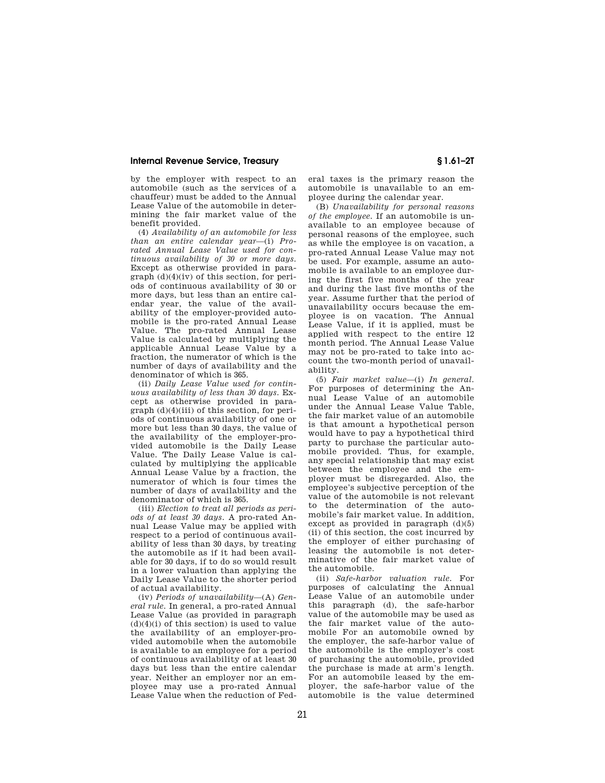by the employer with respect to an automobile (such as the services of a chauffeur) must be added to the Annual Lease Value of the automobile in determining the fair market value of the benefit provided.

(4) *Availability of an automobile for less than an entire calendar year*—(i) *Prorated Annual Lease Value used for continuous availability of 30 or more days.*  Except as otherwise provided in paragraph  $(d)(4)(iv)$  of this section, for periods of continuous availability of 30 or more days, but less than an entire calendar year, the value of the availability of the employer-provided automobile is the pro-rated Annual Lease Value. The pro-rated Annual Lease Value is calculated by multiplying the applicable Annual Lease Value by a fraction, the numerator of which is the number of days of availability and the denominator of which is 365.

(ii) *Daily Lease Value used for continuous availability of less than 30 days.* Except as otherwise provided in paragraph (d)(4)(iii) of this section, for periods of continuous availability of one or more but less than 30 days, the value of the availability of the employer-provided automobile is the Daily Lease Value. The Daily Lease Value is calculated by multiplying the applicable Annual Lease Value by a fraction, the numerator of which is four times the number of days of availability and the denominator of which is 365.

(iii) *Election to treat all periods as periods of at least 30 days.* A pro-rated Annual Lease Value may be applied with respect to a period of continuous availability of less than 30 days, by treating the automobile as if it had been available for 30 days, if to do so would result in a lower valuation than applying the Daily Lease Value to the shorter period of actual availability.

(iv) *Periods of unavailability*—(A) *General rule.* In general, a pro-rated Annual Lease Value (as provided in paragraph  $(d)(4)(i)$  of this section) is used to value the availability of an employer-provided automobile when the automobile is available to an employee for a period of continuous availability of at least 30 days but less than the entire calendar year. Neither an employer nor an employee may use a pro-rated Annual Lease Value when the reduction of Federal taxes is the primary reason the automobile is unavailable to an employee during the calendar year.

(B) *Unavailability for personal reasons of the employee.* If an automobile is unavailable to an employee because of personal reasons of the employee, such as while the employee is on vacation, a pro-rated Annual Lease Value may not be used. For example, assume an automobile is available to an employee during the first five months of the year and during the last five months of the year. Assume further that the period of unavailability occurs because the employee is on vacation. The Annual Lease Value, if it is applied, must be applied with respect to the entire 12 month period. The Annual Lease Value may not be pro-rated to take into account the two-month period of unavailability.

(5) *Fair market value*—(i) *In general.*  For purposes of determining the Annual Lease Value of an automobile under the Annual Lease Value Table, the fair market value of an automobile is that amount a hypothetical person would have to pay a hypothetical third party to purchase the particular automobile provided. Thus, for example, any special relationship that may exist between the employee and the employer must be disregarded. Also, the employee's subjective perception of the value of the automobile is not relevant to the determination of the automobile's fair market value. In addition, except as provided in paragraph  $(d)(5)$ (ii) of this section, the cost incurred by the employer of either purchasing of leasing the automobile is not determinative of the fair market value of the automobile.

(ii) *Safe-harbor valuation rule.* For purposes of calculating the Annual Lease Value of an automobile under this paragraph (d), the safe-harbor value of the automobile may be used as the fair market value of the automobile For an automobile owned by the employer, the safe-harbor value of the automobile is the employer's cost of purchasing the automobile, provided the purchase is made at arm's length. For an automobile leased by the employer, the safe-harbor value of the automobile is the value determined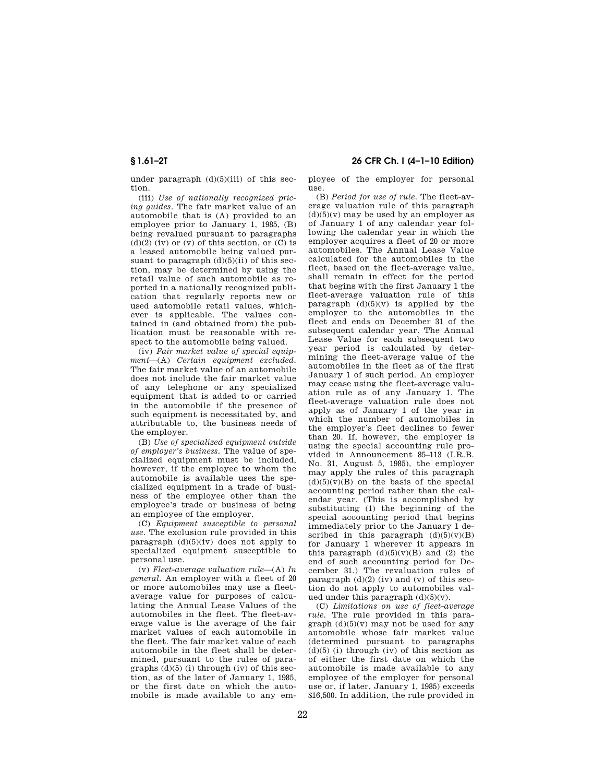under paragraph (d)(5)(iii) of this section.

(iii) *Use of nationally recognized pricing guides.* The fair market value of an automobile that is (A) provided to an employee prior to January 1, 1985, (B) being revalued pursuant to paragraphs  $(d)(2)$  (iv) or  $(v)$  of this section, or  $(C)$  is a leased automobile being valued pursuant to paragraph  $(d)(5)(ii)$  of this section, may be determined by using the retail value of such automobile as reported in a nationally recognized publication that regularly reports new or used automobile retail values, whichever is applicable. The values contained in (and obtained from) the publication must be reasonable with respect to the automobile being valued.

(iv) *Fair market value of special equipment*—(A) *Certain equipment excluded.*  The fair market value of an automobile does not include the fair market value of any telephone or any specialized equipment that is added to or carried in the automobile if the presence of such equipment is necessitated by, and attributable to, the business needs of the employer.

(B) *Use of specialized equipment outside of employer's business.* The value of specialized equipment must be included, however, if the employee to whom the automobile is available uses the specialized equipment in a trade of business of the employee other than the employee's trade or business of being an employee of the employer.

(C) *Equipment susceptible to personal use.* The exclusion rule provided in this paragraph  $(d)(5)(iv)$  does not apply to specialized equipment susceptible to personal use.

(v) *Fleet-average valuation rule*—(A) *In general.* An employer with a fleet of 20 or more automobiles may use a fleetaverage value for purposes of calculating the Annual Lease Values of the automobiles in the fleet. The fleet-average value is the average of the fair market values of each automobile in the fleet. The fair market value of each automobile in the fleet shall be determined, pursuant to the rules of paragraphs  $(d)(5)$  (i) through (iv) of this section, as of the later of January 1, 1985, or the first date on which the automobile is made available to any em-

# **§ 1.61–2T 26 CFR Ch. I (4–1–10 Edition)**

ployee of the employer for personal use.

(B) *Period for use of rule.* The fleet-average valuation rule of this paragraph  $(d)(5)(v)$  may be used by an employer as of January 1 of any calendar year following the calendar year in which the employer acquires a fleet of 20 or more automobiles. The Annual Lease Value calculated for the automobiles in the fleet, based on the fleet-average value, shall remain in effect for the period that begins with the first January 1 the fleet-average valuation rule of this paragraph  $(d)(5)(y)$  is applied by the employer to the automobiles in the fleet and ends on December 31 of the subsequent calendar year. The Annual Lease Value for each subsequent two year period is calculated by determining the fleet-average value of the automobiles in the fleet as of the first January 1 of such period. An employer may cease using the fleet-average valuation rule as of any January 1. The fleet-average valuation rule does not apply as of January 1 of the year in which the number of automobiles in the employer's fleet declines to fewer than 20. If, however, the employer is using the special accounting rule provided in Announcement 85–113 (I.R.B. No. 31, August 5, 1985), the employer may apply the rules of this paragraph  $(d)(5)(v)(B)$  on the basis of the special accounting period rather than the calendar year. (This is accomplished by substituting (1) the beginning of the special accounting period that begins immediately prior to the January 1 described in this paragraph  $(d)(5)(v)(B)$ for January 1 wherever it appears in this paragraph  $(d)(5)(v)(B)$  and  $(2)$  the end of such accounting period for December 31.) The revaluation rules of paragraph  $(d)(2)$  (iv) and (v) of this section do not apply to automobiles valued under this paragraph  $(d)(5)(v)$ .

(C) *Limitations on use of fleet-average rule.* The rule provided in this paragraph  $(d)(5)(v)$  may not be used for any automobile whose fair market value (determined pursuant to paragraphs  $(d)(5)$  (i) through (iv) of this section as of either the first date on which the automobile is made available to any employee of the employer for personal use or, if later, January 1, 1985) exceeds \$16,500. In addition, the rule provided in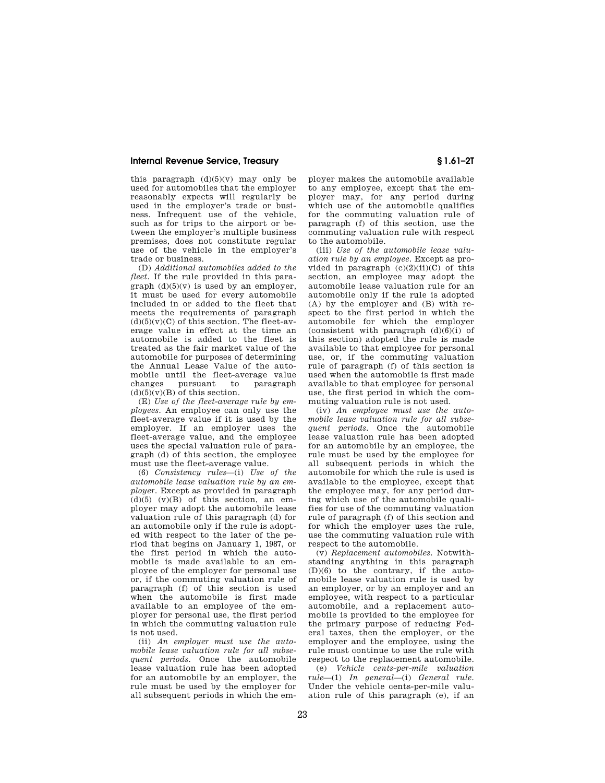this paragraph  $(d)(5)(v)$  may only be used for automobiles that the employer reasonably expects will regularly be used in the employer's trade or business. Infrequent use of the vehicle, such as for trips to the airport or between the employer's multiple business premises, does not constitute regular use of the vehicle in the employer's trade or business.

(D) *Additional automobiles added to the fleet.* If the rule provided in this paragraph  $(d)(5)(v)$  is used by an employer. it must be used for every automobile included in or added to the fleet that meets the requirements of paragraph  $(d)(5)(v)(C)$  of this section. The fleet-average value in effect at the time an automobile is added to the fleet is treated as the fair market value of the automobile for purposes of determining the Annual Lease Value of the automobile until the fleet-average value changes pursuant to paragraph  $(d)(5)(y)(B)$  of this section.

(E) *Use of the fleet-average rule by employees.* An employee can only use the fleet-average value if it is used by the employer. If an employer uses the fleet-average value, and the employee uses the special valuation rule of paragraph (d) of this section, the employee must use the fleet-average value.

(6) *Consistency rules*—(i) *Use of the automobile lease valuation rule by an employer.* Except as provided in paragraph  $(d)(5)$   $(v)(B)$  of this section, an employer may adopt the automobile lease valuation rule of this paragraph (d) for an automobile only if the rule is adopted with respect to the later of the period that begins on January 1, 1987, or the first period in which the automobile is made available to an employee of the employer for personal use or, if the commuting valuation rule of paragraph (f) of this section is used when the automobile is first made available to an employee of the employer for personal use, the first period in which the commuting valuation rule is not used.

(ii) *An employer must use the automobile lease valuation rule for all subsequent periods.* Once the automobile lease valuation rule has been adopted for an automobile by an employer, the rule must be used by the employer for all subsequent periods in which the em-

ployer makes the automobile available to any employee, except that the employer may, for any period during which use of the automobile qualifies for the commuting valuation rule of paragraph (f) of this section, use the commuting valuation rule with respect to the automobile.

(iii) *Use of the automobile lease valuation rule by an employee.* Except as provided in paragraph  $(c)(2)(ii)(C)$  of this section, an employee may adopt the automobile lease valuation rule for an automobile only if the rule is adopted (A) by the employer and (B) with respect to the first period in which the automobile for which the employer (consistent with paragraph  $(d)(6)(i)$  of this section) adopted the rule is made available to that employee for personal use, or, if the commuting valuation rule of paragraph (f) of this section is used when the automobile is first made available to that employee for personal use, the first period in which the commuting valuation rule is not used.

(iv) *An employee must use the automobile lease valuation rule for all subsequent periods.* Once the automobile lease valuation rule has been adopted for an automobile by an employee, the rule must be used by the employee for all subsequent periods in which the automobile for which the rule is used is available to the employee, except that the employee may, for any period during which use of the automobile qualifies for use of the commuting valuation rule of paragraph (f) of this section and for which the employer uses the rule, use the commuting valuation rule with respect to the automobile.

(v) *Replacement automobiles.* Notwithstanding anything in this paragraph (D)(6) to the contrary, if the automobile lease valuation rule is used by an employer, or by an employer and an employee, with respect to a particular automobile, and a replacement automobile is provided to the employee for the primary purpose of reducing Federal taxes, then the employer, or the employer and the employee, using the rule must continue to use the rule with respect to the replacement automobile.

(e) *Vehicle cents-per-mile valuation rule*—(1) *In general*—(i) *General rule.*  Under the vehicle cents-per-mile valuation rule of this paragraph (e), if an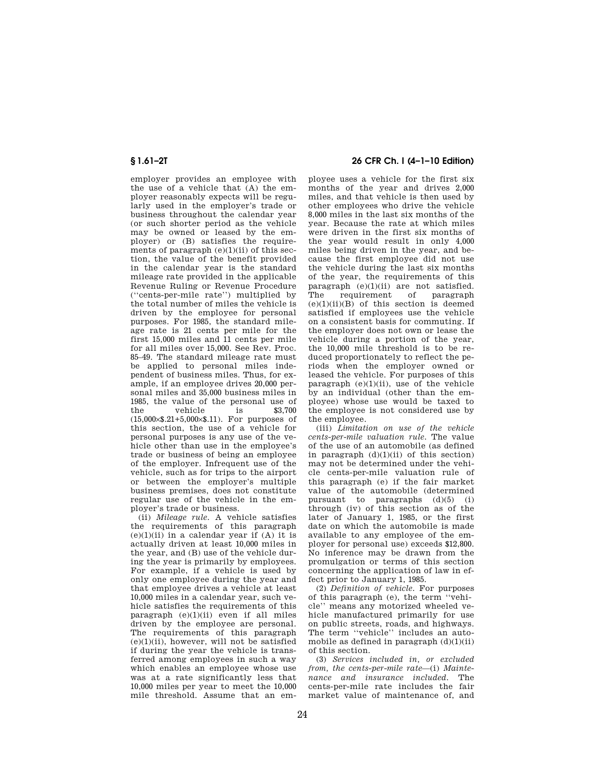employer provides an employee with the use of a vehicle that (A) the employer reasonably expects will be regularly used in the employer's trade or business throughout the calendar year (or such shorter period as the vehicle may be owned or leased by the employer) or (B) satisfies the requirements of paragraph  $(e)(1)(ii)$  of this section, the value of the benefit provided in the calendar year is the standard mileage rate provided in the applicable Revenue Ruling or Revenue Procedure (''cents-per-mile rate'') multiplied by the total number of miles the vehicle is driven by the employee for personal purposes. For 1985, the standard mileage rate is 21 cents per mile for the first 15,000 miles and 11 cents per mile for all miles over 15,000. See Rev. Proc. 85–49. The standard mileage rate must be applied to personal miles independent of business miles. Thus, for example, if an employee drives 20,000 personal miles and 35,000 business miles in 1985, the value of the personal use of<br>the vehicle is \$3.700 the vehicle is (15,000×\$.21+5,000×\$.11). For purposes of this section, the use of a vehicle for personal purposes is any use of the vehicle other than use in the employee's trade or business of being an employee of the employer. Infrequent use of the vehicle, such as for trips to the airport or between the employer's multiple business premises, does not constitute regular use of the vehicle in the employer's trade or business.

(ii) *Mileage rule.* A vehicle satisfies the requirements of this paragraph  $(e)(1)(ii)$  in a calendar year if  $(A)$  it is actually driven at least 10,000 miles in the year, and (B) use of the vehicle during the year is primarily by employees. For example, if a vehicle is used by only one employee during the year and that employee drives a vehicle at least 10,000 miles in a calendar year, such vehicle satisfies the requirements of this paragraph (e)(1)(ii) even if all miles driven by the employee are personal. The requirements of this paragraph  $(e)(1)(ii)$ , however, will not be satisfied if during the year the vehicle is transferred among employees in such a way which enables an employee whose use was at a rate significantly less that 10,000 miles per year to meet the 10,000 mile threshold. Assume that an em-

## **§ 1.61–2T 26 CFR Ch. I (4–1–10 Edition)**

ployee uses a vehicle for the first six months of the year and drives 2,000 miles, and that vehicle is then used by other employees who drive the vehicle 8,000 miles in the last six months of the year. Because the rate at which miles were driven in the first six months of the year would result in only 4,000 miles being driven in the year, and because the first employee did not use the vehicle during the last six months of the year, the requirements of this  $\frac{1}{2}$  paragraph (e)(1)(ii) are not satisfied.<br>The requirement of paragraph requirement of paragraph  $(e)(1)(ii)(B)$  of this section is deemed satisfied if employees use the vehicle on a consistent basis for commuting. If the employer does not own or lease the vehicle during a portion of the year, the 10,000 mile threshold is to be reduced proportionately to reflect the periods when the employer owned or leased the vehicle. For purposes of this paragraph  $(e)(1)(ii)$ , use of the vehicle by an individual (other than the employee) whose use would be taxed to the employee is not considered use by the employee.

(iii) *Limitation on use of the vehicle cents-per-mile valuation rule.* The value of the use of an automobile (as defined in paragraph (d)(1)(ii) of this section) may not be determined under the vehicle cents-per-mile valuation rule of this paragraph (e) if the fair market value of the automobile (determined pursuant to paragraphs  $(d)(5)$  (i) through (iv) of this section as of the later of January 1, 1985, or the first date on which the automobile is made available to any employee of the employer for personal use) exceeds \$12,800. No inference may be drawn from the promulgation or terms of this section concerning the application of law in effect prior to January 1, 1985.

(2) *Definition of vehicle.* For purposes of this paragraph (e), the term ''vehicle'' means any motorized wheeled vehicle manufactured primarily for use on public streets, roads, and highways. The term ''vehicle'' includes an automobile as defined in paragraph  $(d)(1)(ii)$ of this section.

(3) *Services included in, or excluded from, the cents-per-mile rate*—(i) *Maintenance and insurance included.* The cents-per-mile rate includes the fair market value of maintenance of, and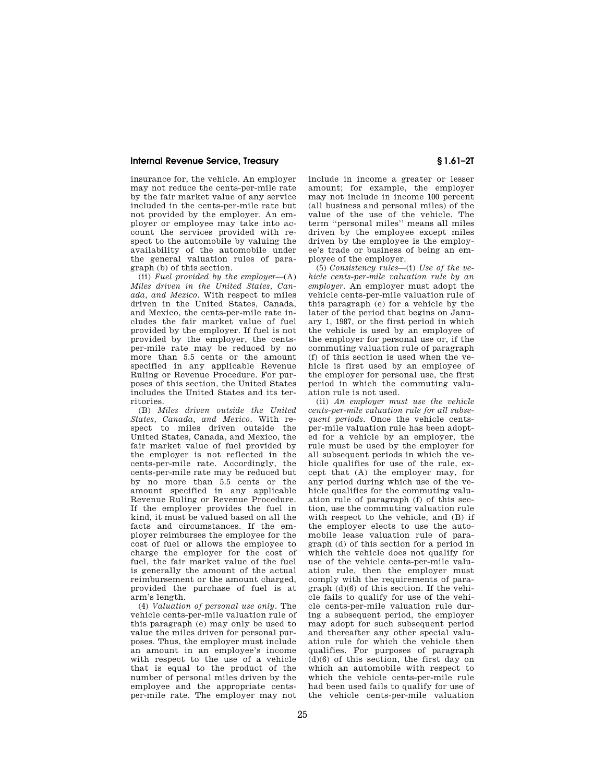insurance for, the vehicle. An employer may not reduce the cents-per-mile rate by the fair market value of any service included in the cents-per-mile rate but not provided by the employer. An employer or employee may take into account the services provided with respect to the automobile by valuing the availability of the automobile under the general valuation rules of paragraph (b) of this section.

(ii) *Fuel provided by the employer*—(A) *Miles driven in the United States, Canada, and Mexico.* With respect to miles driven in the United States, Canada, and Mexico, the cents-per-mile rate includes the fair market value of fuel provided by the employer. If fuel is not provided by the employer, the centsper-mile rate may be reduced by no more than 5.5 cents or the amount specified in any applicable Revenue Ruling or Revenue Procedure. For purposes of this section, the United States includes the United States and its territories.

(B) *Miles driven outside the United States, Canada, and Mexico.* With respect to miles driven outside the United States, Canada, and Mexico, the fair market value of fuel provided by the employer is not reflected in the cents-per-mile rate. Accordingly, the cents-per-mile rate may be reduced but by no more than 5.5 cents or the amount specified in any applicable Revenue Ruling or Revenue Procedure. If the employer provides the fuel in kind, it must be valued based on all the facts and circumstances. If the employer reimburses the employee for the cost of fuel or allows the employee to charge the employer for the cost of fuel, the fair market value of the fuel is generally the amount of the actual reimbursement or the amount charged, provided the purchase of fuel is at arm's length.

(4) *Valuation of personal use only.* The vehicle cents-per-mile valuation rule of this paragraph (e) may only be used to value the miles driven for personal purposes. Thus, the employer must include an amount in an employee's income with respect to the use of a vehicle that is equal to the product of the number of personal miles driven by the employee and the appropriate centsper-mile rate. The employer may not include in income a greater or lesser amount; for example, the employer may not include in income 100 percent (all business and personal miles) of the value of the use of the vehicle. The term ''personal miles'' means all miles driven by the employee except miles driven by the employee is the employee's trade or business of being an employee of the employer.

(5) *Consistency rules*—(i) *Use of the vehicle cents-per-mile valuation rule by an employer.* An employer must adopt the vehicle cents-per-mile valuation rule of this paragraph (e) for a vehicle by the later of the period that begins on January 1, 1987, or the first period in which the vehicle is used by an employee of the employer for personal use or, if the commuting valuation rule of paragraph (f) of this section is used when the vehicle is first used by an employee of the employer for personal use, the first period in which the commuting valuation rule is not used.

(ii) *An employer must use the vehicle cents-per-mile valuation rule for all subsequent periods.* Once the vehicle centsper-mile valuation rule has been adopted for a vehicle by an employer, the rule must be used by the employer for all subsequent periods in which the vehicle qualifies for use of the rule, except that (A) the employer may, for any period during which use of the vehicle qualifies for the commuting valuation rule of paragraph (f) of this section, use the commuting valuation rule with respect to the vehicle, and (B) if the employer elects to use the automobile lease valuation rule of paragraph (d) of this section for a period in which the vehicle does not qualify for use of the vehicle cents-per-mile valuation rule, then the employer must comply with the requirements of paragraph (d)(6) of this section. If the vehicle fails to qualify for use of the vehicle cents-per-mile valuation rule during a subsequent period, the employer may adopt for such subsequent period and thereafter any other special valuation rule for which the vehicle then qualifies. For purposes of paragraph (d)(6) of this section, the first day on which an automobile with respect to which the vehicle cents-per-mile rule had been used fails to qualify for use of the vehicle cents-per-mile valuation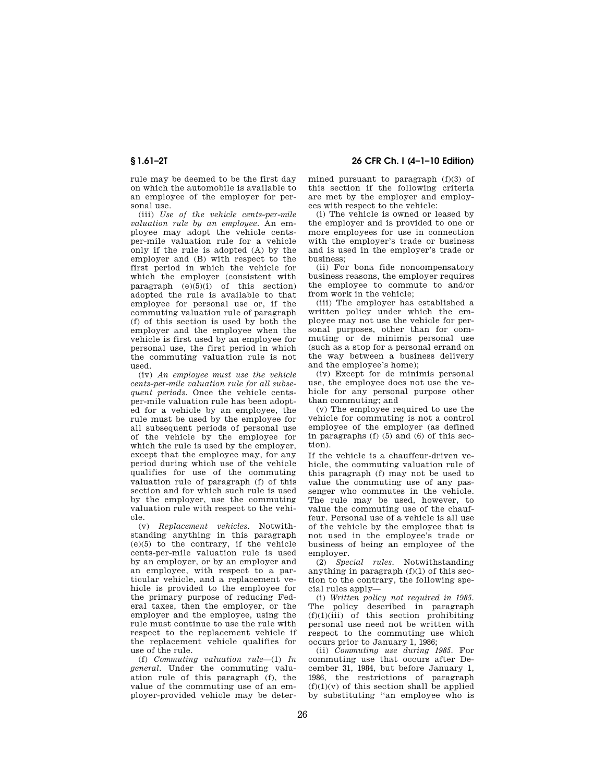rule may be deemed to be the first day on which the automobile is available to an employee of the employer for personal use.

(iii) *Use of the vehicle cents-per-mile valuation rule by an employee.* An employee may adopt the vehicle centsper-mile valuation rule for a vehicle only if the rule is adopted (A) by the employer and (B) with respect to the first period in which the vehicle for which the employer (consistent with paragraph  $(e)(5)(i)$  of this section) adopted the rule is available to that employee for personal use or, if the commuting valuation rule of paragraph (f) of this section is used by both the employer and the employee when the vehicle is first used by an employee for personal use, the first period in which the commuting valuation rule is not used.

(iv) *An employee must use the vehicle cents-per-mile valuation rule for all subsequent periods.* Once the vehicle centsper-mile valuation rule has been adopted for a vehicle by an employee, the rule must be used by the employee for all subsequent periods of personal use of the vehicle by the employee for which the rule is used by the employer, except that the employee may, for any period during which use of the vehicle qualifies for use of the commuting valuation rule of paragraph (f) of this section and for which such rule is used by the employer, use the commuting valuation rule with respect to the vehicle.

(v) *Replacement vehicles.* Notwithstanding anything in this paragraph (e)(5) to the contrary, if the vehicle cents-per-mile valuation rule is used by an employer, or by an employer and an employee, with respect to a particular vehicle, and a replacement vehicle is provided to the employee for the primary purpose of reducing Federal taxes, then the employer, or the employer and the employee, using the rule must continue to use the rule with respect to the replacement vehicle if the replacement vehicle qualifies for use of the rule.

(f) *Commuting valuation rule*—(1) *In general*. Under the commuting valuation rule of this paragraph (f), the value of the commuting use of an employer-provided vehicle may be deter-

**§ 1.61–2T 26 CFR Ch. I (4–1–10 Edition)** 

mined pursuant to paragraph (f)(3) of this section if the following criteria are met by the employer and employees with respect to the vehicle:

(i) The vehicle is owned or leased by the employer and is provided to one or more employees for use in connection with the employer's trade or business and is used in the employer's trade or business;

(ii) For bona fide noncompensatory business reasons, the employer requires the employee to commute to and/or from work in the vehicle;

(iii) The employer has established a written policy under which the employee may not use the vehicle for personal purposes, other than for commuting or de minimis personal use (such as a stop for a personal errand on the way between a business delivery and the employee's home);

(iv) Except for de minimis personal use, the employee does not use the vehicle for any personal purpose other than commuting; and

(v) The employee required to use the vehicle for commuting is not a control employee of the employer (as defined in paragraphs (f) (5) and (6) of this section).

If the vehicle is a chauffeur-driven vehicle, the commuting valuation rule of this paragraph (f) may not be used to value the commuting use of any passenger who commutes in the vehicle. The rule may be used, however, to value the commuting use of the chauffeur. Personal use of a vehicle is all use of the vehicle by the employee that is not used in the employee's trade or business of being an employee of the employer.

(2) *Special rules.* Notwithstanding anything in paragraph (f)(1) of this section to the contrary, the following special rules apply—

(i) *Written policy not required in 1985.*  The policy described in paragraph  $(f)(1)(iii)$  of this section prohibiting personal use need not be written with respect to the commuting use which occurs prior to January 1, 1986;

(ii) *Commuting use during 1985.* For commuting use that occurs after December 31, 1984, but before January 1, 1986, the restrictions of paragraph  $(f)(1)(v)$  of this section shall be applied by substituting ''an employee who is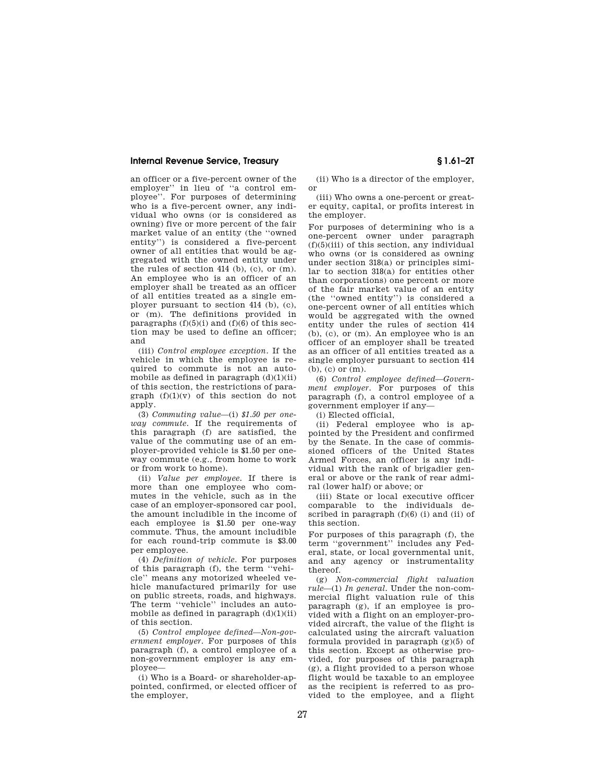an officer or a five-percent owner of the employer'' in lieu of ''a control employee''. For purposes of determining who is a five-percent owner, any individual who owns (or is considered as owning) five or more percent of the fair market value of an entity (the ''owned entity'') is considered a five-percent owner of all entities that would be aggregated with the owned entity under the rules of section  $414$  (b), (c), or (m). An employee who is an officer of an employer shall be treated as an officer of all entities treated as a single employer pursuant to section 414 (b), (c), or (m). The definitions provided in paragraphs  $(f)(5)(i)$  and  $(f)(6)$  of this section may be used to define an officer; and

(iii) *Control employee exception.* If the vehicle in which the employee is required to commute is not an automobile as defined in paragraph  $(d)(1)(ii)$ of this section, the restrictions of paragraph  $(f)(1)(v)$  of this section do not apply.

(3) *Commuting value*—(i) *\$1.50 per oneway commute.* If the requirements of this paragraph (f) are satisfied, the value of the commuting use of an employer-provided vehicle is \$1.50 per oneway commute (e.g., from home to work or from work to home).

(ii) *Value per employee.* If there is more than one employee who commutes in the vehicle, such as in the case of an employer-sponsored car pool, the amount includible in the income of each employee is \$1.50 per one-way commute. Thus, the amount includible for each round-trip commute is \$3.00 per employee.

(4) *Definition of vehicle.* For purposes of this paragraph (f), the term ''vehicle'' means any motorized wheeled vehicle manufactured primarily for use on public streets, roads, and highways. The term ''vehicle'' includes an automobile as defined in paragraph  $(d)(1)(ii)$ of this section.

(5) *Control employee defined—Non-government employer.* For purposes of this paragraph (f), a control employee of a non-government employer is any employee—

(i) Who is a Board- or shareholder-appointed, confirmed, or elected officer of the employer,

(ii) Who is a director of the employer, or

(iii) Who owns a one-percent or greater equity, capital, or profits interest in the employer.

For purposes of determining who is a one-percent owner under paragraph  $(f)(5)(iii)$  of this section, any individual who owns (or is considered as owning under section 318(a) or principles similar to section  $318(a)$  for entities other than corporations) one percent or more of the fair market value of an entity (the ''owned entity'') is considered a one-percent owner of all entities which would be aggregated with the owned entity under the rules of section 414 (b), (c), or (m). An employee who is an officer of an employer shall be treated as an officer of all entities treated as a single employer pursuant to section 414 (b), (c) or (m).

(6) *Control employee defined—Government employer.* For purposes of this paragraph (f), a control employee of a government employer if any—

(i) Elected official,

(ii) Federal employee who is appointed by the President and confirmed by the Senate. In the case of commissioned officers of the United States Armed Forces, an officer is any individual with the rank of brigadier general or above or the rank of rear admiral (lower half) or above; or

(iii) State or local executive officer comparable to the individuals described in paragraph  $(f)(6)$  (i) and (ii) of this section.

For purposes of this paragraph (f), the term ''government'' includes any Federal, state, or local governmental unit, and any agency or instrumentality thereof.

(g) *Non-commercial flight valuation rule*—(1) *In general.* Under the non-commercial flight valuation rule of this paragraph (g), if an employee is provided with a flight on an employer-provided aircraft, the value of the flight is calculated using the aircraft valuation formula provided in paragraph (g)(5) of this section. Except as otherwise provided, for purposes of this paragraph (g), a flight provided to a person whose flight would be taxable to an employee as the recipient is referred to as provided to the employee, and a flight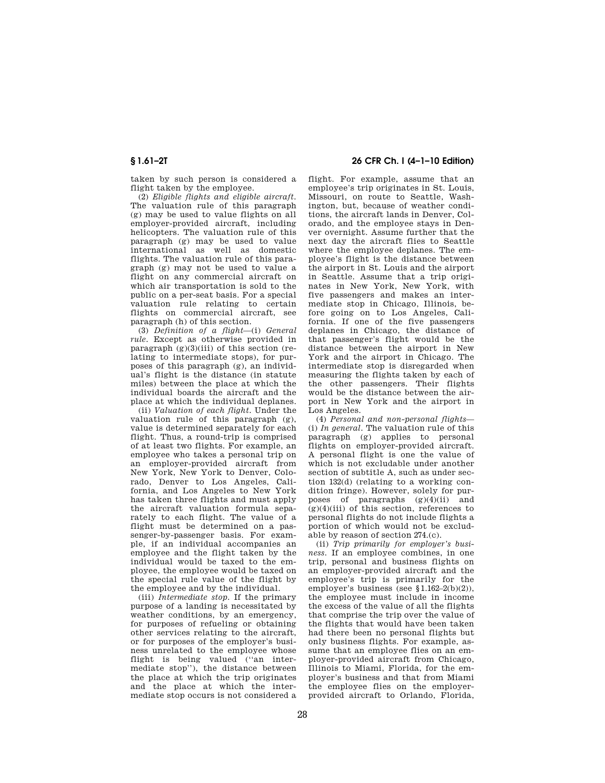taken by such person is considered a flight taken by the employee.

(2) *Eligible flights and eligible aircraft.*  The valuation rule of this paragraph (g) may be used to value flights on all employer-provided aircraft, including helicopters. The valuation rule of this paragraph (g) may be used to value international as well as domestic flights. The valuation rule of this paragraph (g) may not be used to value a flight on any commercial aircraft on which air transportation is sold to the public on a per-seat basis. For a special valuation rule relating to certain flights on commercial aircraft, see paragraph (h) of this section.

(3) *Definition of a flight*—(i) *General rule.* Except as otherwise provided in paragraph  $(g)(3)(iii)$  of this section (relating to intermediate stops), for purposes of this paragraph (g), an individual's flight is the distance (in statute miles) between the place at which the individual boards the aircraft and the place at which the individual deplanes.

(ii) *Valuation of each flight.* Under the valuation rule of this paragraph (g), value is determined separately for each flight. Thus, a round-trip is comprised of at least two flights. For example, an employee who takes a personal trip on an employer-provided aircraft from New York, New York to Denver, Colorado, Denver to Los Angeles, California, and Los Angeles to New York has taken three flights and must apply the aircraft valuation formula separately to each flight. The value of a flight must be determined on a passenger-by-passenger basis. For example, if an individual accompanies an employee and the flight taken by the individual would be taxed to the employee, the employee would be taxed on the special rule value of the flight by the employee and by the individual.

(iii) *Intermediate stop.* If the primary purpose of a landing is necessitated by weather conditions, by an emergency, for purposes of refueling or obtaining other services relating to the aircraft, or for purposes of the employer's business unrelated to the employee whose flight is being valued ("an intermediate stop''), the distance between the place at which the trip originates and the place at which the intermediate stop occurs is not considered a

# **§ 1.61–2T 26 CFR Ch. I (4–1–10 Edition)**

flight. For example, assume that an employee's trip originates in St. Louis, Missouri, on route to Seattle, Washington, but, because of weather conditions, the aircraft lands in Denver, Colorado, and the employee stays in Denver overnight. Assume further that the next day the aircraft flies to Seattle where the employee deplanes. The employee's flight is the distance between the airport in St. Louis and the airport in Seattle. Assume that a trip originates in New York, New York, with five passengers and makes an intermediate stop in Chicago, Illinois, before going on to Los Angeles, California. If one of the five passengers deplanes in Chicago, the distance of that passenger's flight would be the distance between the airport in New York and the airport in Chicago. The intermediate stop is disregarded when measuring the flights taken by each of the other passengers. Their flights would be the distance between the airport in New York and the airport in Los Angeles.

(4) *Personal and non-personal flights*— (i) *In general.* The valuation rule of this paragraph (g) applies to personal flights on employer-provided aircraft. A personal flight is one the value of which is not excludable under another section of subtitle A, such as under section 132(d) (relating to a working condition fringe). However, solely for purposes of paragraphs (g)(4)(ii) and  $(g)(4)(iii)$  of this section, references to personal flights do not include flights a portion of which would not be excludable by reason of section 274.(c).

(ii) *Trip primarily for employer's business.* If an employee combines, in one trip, personal and business flights on an employer-provided aircraft and the employee's trip is primarily for the employer's business (see §1.162-2(b)(2)). the employee must include in income the excess of the value of all the flights that comprise the trip over the value of the flights that would have been taken had there been no personal flights but only business flights. For example, assume that an employee flies on an employer-provided aircraft from Chicago, Illinois to Miami, Florida, for the employer's business and that from Miami the employee flies on the employerprovided aircraft to Orlando, Florida,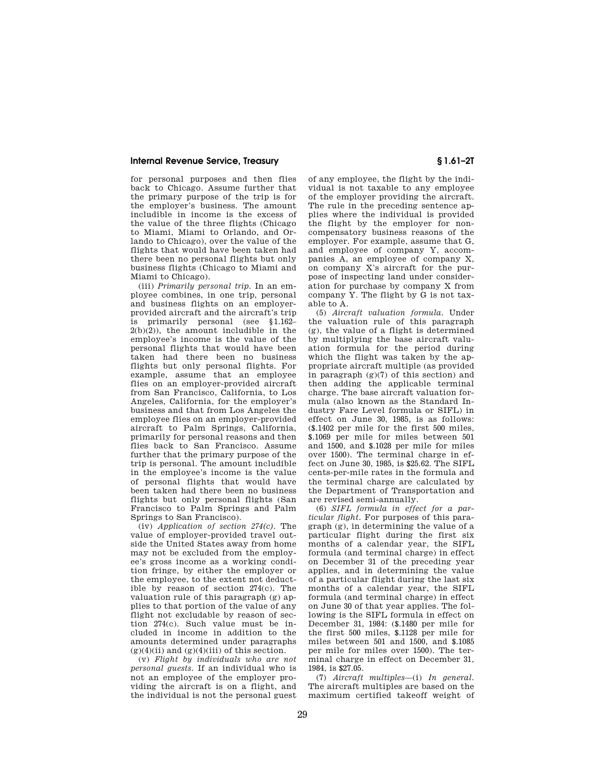for personal purposes and then flies back to Chicago. Assume further that the primary purpose of the trip is for the employer's business. The amount includible in income is the excess of the value of the three flights (Chicago to Miami, Miami to Orlando, and Orlando to Chicago), over the value of the flights that would have been taken had there been no personal flights but only business flights (Chicago to Miami and Miami to Chicago).

(iii) *Primarily personal trip.* In an employee combines, in one trip, personal and business flights on an employerprovided aircraft and the aircraft's trip is primarily personal (see §1.162–  $2(b)(2)$ , the amount includible in the employee's income is the value of the personal flights that would have been taken had there been no business flights but only personal flights. For example, assume that an employee flies on an employer-provided aircraft from San Francisco, California, to Los Angeles, California, for the employer's business and that from Los Angeles the employee flies on an employer-provided aircraft to Palm Springs, California, primarily for personal reasons and then flies back to San Francisco. Assume further that the primary purpose of the trip is personal. The amount includible in the employee's income is the value of personal flights that would have been taken had there been no business flights but only personal flights (San Francisco to Palm Springs and Palm Springs to San Francisco).

(iv) *Application of section 274(c).* The value of employer-provided travel outside the United States away from home may not be excluded from the employee's gross income as a working condition fringe, by either the employer or the employee, to the extent not deductible by reason of section 274(c). The valuation rule of this paragraph (g) applies to that portion of the value of any flight not excludable by reason of section 274(c). Such value must be included in income in addition to the amounts determined under paragraphs  $(g)(4)(ii)$  and  $(g)(4)(iii)$  of this section.

(v) *Flight by individuals who are not personal guests.* If an individual who is not an employee of the employer providing the aircraft is on a flight, and the individual is not the personal guest of any employee, the flight by the individual is not taxable to any employee of the employer providing the aircraft. The rule in the preceding sentence applies where the individual is provided the flight by the employer for noncompensatory business reasons of the employer. For example, assume that G, and employee of company Y, accompanies A, an employee of company X, on company X's aircraft for the purpose of inspecting land under consideration for purchase by company X from company Y. The flight by G is not taxable to A.

(5) *Aircraft valuation formula.* Under the valuation rule of this paragraph (g), the value of a flight is determined by multiplying the base aircraft valuation formula for the period during which the flight was taken by the appropriate aircraft multiple (as provided in paragraph (g)(7) of this section) and then adding the applicable terminal charge. The base aircraft valuation formula (also known as the Standard Industry Fare Level formula or SIFL) in effect on June 30, 1985, is as follows: (\$.1402 per mile for the first 500 miles, \$.1069 per mile for miles between 501 and 1500, and \$.1028 per mile for miles over 1500). The terminal charge in effect on June 30, 1985, is \$25.62. The SIFL cents-per-mile rates in the formula and the terminal charge are calculated by the Department of Transportation and are revised semi-annually.

(6) *SIFL formula in effect for a particular flight.* For purposes of this paragraph (g), in determining the value of a particular flight during the first six months of a calendar year, the SIFL formula (and terminal charge) in effect on December 31 of the preceding year applies, and in determining the value of a particular flight during the last six months of a calendar year, the SIFL formula (and terminal charge) in effect on June 30 of that year applies. The following is the SIFL formula in effect on December 31, 1984: (\$.1480 per mile for the first 500 miles, \$.1128 per mile for miles between 501 and 1500, and \$.1085 per mile for miles over 1500). The terminal charge in effect on December 31, 1984, is \$27.05.

(7) *Aircraft multiples*—(i) *In general.*  The aircraft multiples are based on the maximum certified takeoff weight of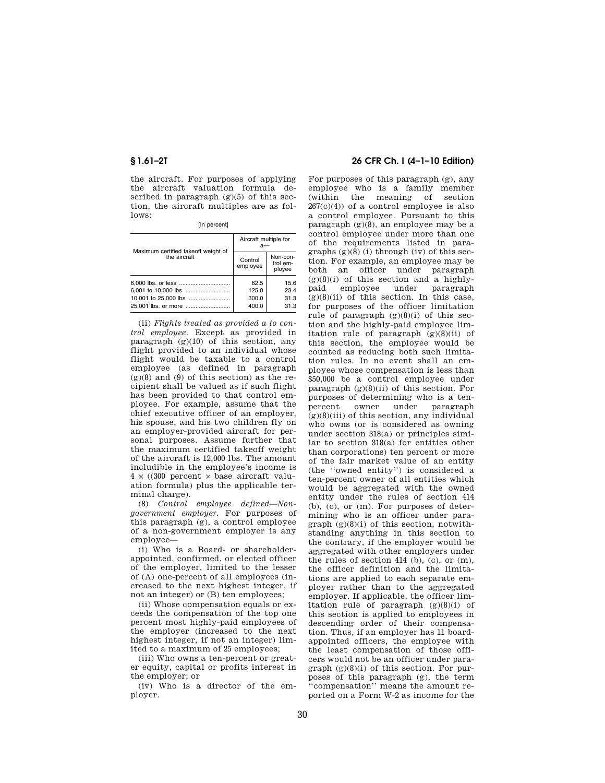the aircraft. For purposes of applying the aircraft valuation formula described in paragraph  $(g)(5)$  of this section, the aircraft multiples are as follows:

[In percent]

| Maximum certified takeoff weight of<br>the aircraft | Aircraft multiple for<br>а— |                                |
|-----------------------------------------------------|-----------------------------|--------------------------------|
|                                                     | Control<br>employee         | Non-con-<br>trol em-<br>ployee |
|                                                     | 62.5                        | 15.6                           |
|                                                     | 125.0                       | 23.4                           |
| 10,001 to 25,000 lbs                                | 300.0                       | 31.3                           |
|                                                     | 400.0                       | 31.3                           |

(ii) *Flights treated as provided a to control employee.* Except as provided in paragraph  $(g)(10)$  of this section, any flight provided to an individual whose flight would be taxable to a control employee (as defined in paragraph  $(g)(8)$  and  $(9)$  of this section) as the recipient shall be valued as if such flight has been provided to that control employee. For example, assume that the chief executive officer of an employer, his spouse, and his two children fly on an employer-provided aircraft for personal purposes. Assume further that the maximum certified takeoff weight of the aircraft is 12,000 lbs. The amount includible in the employee's income is  $4 \times (300$  percent  $\times$  base aircraft valuation formula) plus the applicable terminal charge).

(8) *Control employee defined—Nongovernment employer.* For purposes of this paragraph (g), a control employee of a non-government employer is any employee—

(i) Who is a Board- or shareholderappointed, confirmed, or elected officer of the employer, limited to the lesser of (A) one-percent of all employees (increased to the next highest integer, if not an integer) or (B) ten employees;

(ii) Whose compensation equals or exceeds the compensation of the top one percent most highly-paid employees of the employer (increased to the next highest integer, if not an integer) limited to a maximum of 25 employees;

(iii) Who owns a ten-percent or greater equity, capital or profits interest in the employer; or

(iv) Who is a director of the employer.

## **§ 1.61–2T 26 CFR Ch. I (4–1–10 Edition)**

For purposes of this paragraph (g), any employee who is a family member (within the meaning of section  $267(c)(4)$  of a control employee is also a control employee. Pursuant to this paragraph (g)(8), an employee may be a control employee under more than one of the requirements listed in paragraphs  $(g)(8)$  (i) through (iv) of this section. For example, an employee may be both an officer under paragraph  $(g)(8)(i)$  of this section and a highlypaid employee under paragraph  $(g)(8)(ii)$  of this section. In this case, for purposes of the officer limitation rule of paragraph  $(g)(8)(i)$  of this section and the highly-paid employee limitation rule of paragraph  $(g)(8)(ii)$  of this section, the employee would be counted as reducing both such limitation rules. In no event shall an employee whose compensation is less than \$50,000 be a control employee under paragraph  $(g)(8)(ii)$  of this section. For purposes of determining who is a tenpercent owner under paragraph  $(g)(8)(iii)$  of this section, any individual who owns (or is considered as owning under section 318(a) or principles similar to section 318(a) for entities other than corporations) ten percent or more of the fair market value of an entity (the ''owned entity'') is considered a ten-percent owner of all entities which would be aggregated with the owned entity under the rules of section 414 (b), (c), or (m). For purposes of determining who is an officer under para $graph (g)(8)(i)$  of this section, notwithstanding anything in this section to the contrary, if the employer would be aggregated with other employers under the rules of section 414 (b), (c), or (m), the officer definition and the limitations are applied to each separate employer rather than to the aggregated employer. If applicable, the officer limitation rule of paragraph  $(g)(8)(i)$  of this section is applied to employees in descending order of their compensation. Thus, if an employer has 11 boardappointed officers, the employee with the least compensation of those officers would not be an officer under paragraph  $(g)(8)(i)$  of this section. For purposes of this paragraph (g), the term ''compensation'' means the amount reported on a Form W-2 as income for the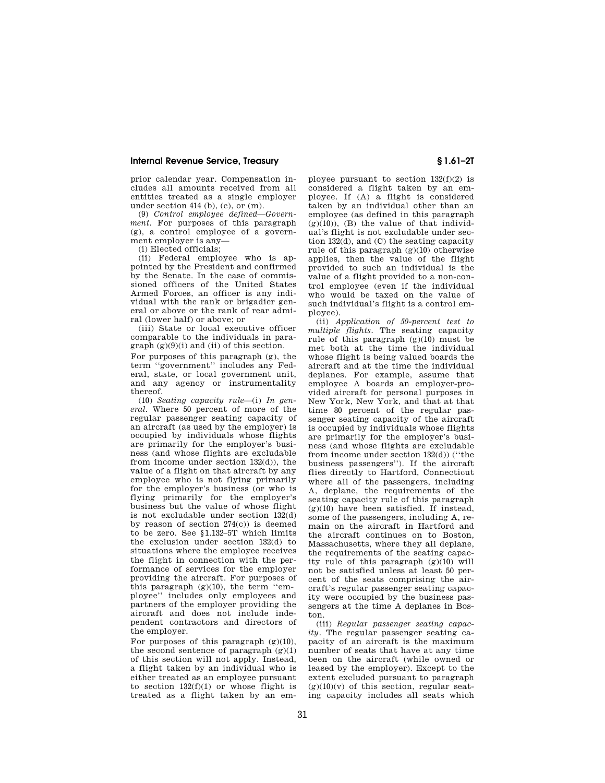prior calendar year. Compensation includes all amounts received from all entities treated as a single employer under section  $414$  (b), (c), or (m).

(9) *Control employee defined—Government.* For purposes of this paragraph (g), a control employee of a government employer is any—

(i) Elected officials;

(ii) Federal employee who is appointed by the President and confirmed by the Senate. In the case of commissioned officers of the United States Armed Forces, an officer is any individual with the rank or brigadier general or above or the rank of rear admiral (lower half) or above; or

(iii) State or local executive officer comparable to the individuals in para $graph (g)(9)(i)$  and (ii) of this section.

For purposes of this paragraph (g), the term ''government'' includes any Federal, state, or local government unit, and any agency or instrumentality thereof.

(10) *Seating capacity rule*—(i) *In general.* Where 50 percent of more of the regular passenger seating capacity of an aircraft (as used by the employer) is occupied by individuals whose flights are primarily for the employer's business (and whose flights are excludable from income under section 132(d)), the value of a flight on that aircraft by any employee who is not flying primarily for the employer's business (or who is flying primarily for the employer's business but the value of whose flight is not excludable under section 132(d) by reason of section  $274(c)$  is deemed to be zero. See §1.132–5T which limits the exclusion under section 132(d) to situations where the employee receives the flight in connection with the performance of services for the employer providing the aircraft. For purposes of this paragraph (g)(10), the term ''employee'' includes only employees and partners of the employer providing the aircraft and does not include independent contractors and directors of the employer.

For purposes of this paragraph  $(g)(10)$ , the second sentence of paragraph  $(g)(1)$ of this section will not apply. Instead, a flight taken by an individual who is either treated as an employee pursuant to section  $132(f)(1)$  or whose flight is treated as a flight taken by an em-

ployee pursuant to section  $132(f)(2)$  is considered a flight taken by an employee. If (A) a flight is considered taken by an individual other than an employee (as defined in this paragraph  $(g)(10)$ ),  $(B)$  the value of that individual's flight is not excludable under section 132(d), and (C) the seating capacity rule of this paragraph  $(g)(10)$  otherwise applies, then the value of the flight provided to such an individual is the value of a flight provided to a non-control employee (even if the individual who would be taxed on the value of such individual's flight is a control employee).

(ii) *Application of 50-percent test to multiple flights.* The seating capacity rule of this paragraph  $(g)(10)$  must be met both at the time the individual whose flight is being valued boards the aircraft and at the time the individual deplanes. For example, assume that employee A boards an employer-provided aircraft for personal purposes in New York, New York, and that at that time 80 percent of the regular passenger seating capacity of the aircraft is occupied by individuals whose flights are primarily for the employer's business (and whose flights are excludable from income under section 132(d)) (''the business passengers''). If the aircraft flies directly to Hartford, Connecticut where all of the passengers, including A, deplane, the requirements of the seating capacity rule of this paragraph  $(g)(10)$  have been satisfied. If instead, some of the passengers, including A, remain on the aircraft in Hartford and the aircraft continues on to Boston, Massachusetts, where they all deplane, the requirements of the seating capacity rule of this paragraph (g)(10) will not be satisfied unless at least 50 percent of the seats comprising the aircraft's regular passenger seating capacity were occupied by the business passengers at the time A deplanes in Boston.

(iii) *Regular passenger seating capacity.* The regular passenger seating capacity of an aircraft is the maximum number of seats that have at any time been on the aircraft (while owned or leased by the employer). Except to the extent excluded pursuant to paragraph  $(g)(10)(v)$  of this section, regular seating capacity includes all seats which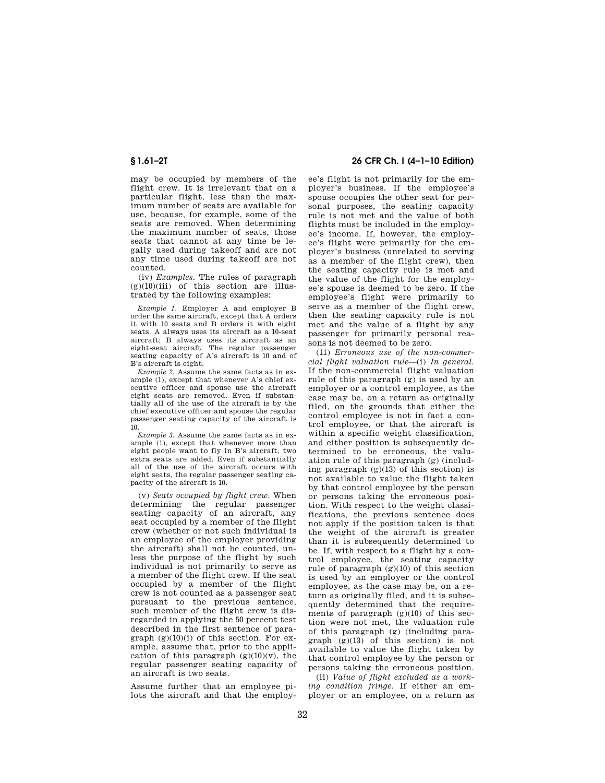may be occupied by members of the flight crew. It is irrelevant that on a particular flight, less than the maximum number of seats are available for use, because, for example, some of the seats are removed. When determining the maximum number of seats, those seats that cannot at any time be legally used during takeoff and are not any time used during takeoff are not counted.

(iv) *Examples.* The rules of paragraph  $(g)(10)(iii)$  of this section are illustrated by the following examples:

*Example 1.* Employer A and employer B order the same aircraft, except that A orders it with 10 seats and B orders it with eight seats. A always uses its aircraft as a 10-seat aircraft; B always uses its aircraft as an eight-seat aircraft. The regular passenger seating capacity of A's aircraft is 10 and of B's aircraft is eight.

*Example 2.* Assume the same facts as in example (1), except that whenever A's chief executive officer and spouse use the aircraft eight seats are removed. Even if substantially all of the use of the aircraft is by the chief executive officer and spouse the regular passenger seating capacity of the aircraft is 10.

*Example 3.* Assume the same facts as in example (1), except that whenever more than eight people want to fly in B's aircraft, two extra seats are added. Even if substantially all of the use of the aircraft occurs with eight seats, the regular passenger seating capacity of the aircraft is 10.

(v) *Seats occupied by flight crew.* When determining the regular passenger seating capacity of an aircraft, any seat occupied by a member of the flight crew (whether or not such individual is an employee of the employer providing the aircraft) shall not be counted, unless the purpose of the flight by such individual is not primarily to serve as a member of the flight crew. If the seat occupied by a member of the flight crew is not counted as a passenger seat pursuant to the previous sentence, such member of the flight crew is disregarded in applying the 50 percent test described in the first sentence of paragraph  $(g)(10)(i)$  of this section. For example, assume that, prior to the application of this paragraph  $(g)(10)(v)$ , the regular passenger seating capacity of an aircraft is two seats.

Assume further that an employee pilots the aircraft and that the employ-

## **§ 1.61–2T 26 CFR Ch. I (4–1–10 Edition)**

ee's flight is not primarily for the employer's business. If the employee's spouse occupies the other seat for personal purposes, the seating capacity rule is not met and the value of both flights must be included in the employee's income. If, however, the employee's flight were primarily for the employer's business (unrelated to serving as a member of the flight crew), then the seating capacity rule is met and the value of the flight for the employee's spouse is deemed to be zero. If the employee's flight were primarily to serve as a member of the flight crew, then the seating capacity rule is not met and the value of a flight by any passenger for primarily personal reasons is not deemed to be zero.

(11) *Erroneous use of the non-commercial flight valuation rule*—(i) *In general.*  If the non-commercial flight valuation rule of this paragraph (g) is used by an employer or a control employee, as the case may be, on a return as originally filed, on the grounds that either the control employee is not in fact a control employee, or that the aircraft is within a specific weight classification, and either position is subsequently determined to be erroneous, the valuation rule of this paragraph (g) (including paragraph  $(g)(13)$  of this section) is not available to value the flight taken by that control employee by the person or persons taking the erroneous position. With respect to the weight classifications, the previous sentence does not apply if the position taken is that the weight of the aircraft is greater than it is subsequently determined to be. If, with respect to a flight by a control employee, the seating capacity rule of paragraph  $(g)(10)$  of this section is used by an employer or the control employee, as the case may be, on a return as originally filed, and it is subsequently determined that the requirements of paragraph  $(g)(10)$  of this section were not met, the valuation rule of this paragraph (g) (including para $graph (g)(13) of this section) is not$ available to value the flight taken by that control employee by the person or persons taking the erroneous position.

(ii) *Value of flight excluded as a working condition fringe.* If either an employer or an employee, on a return as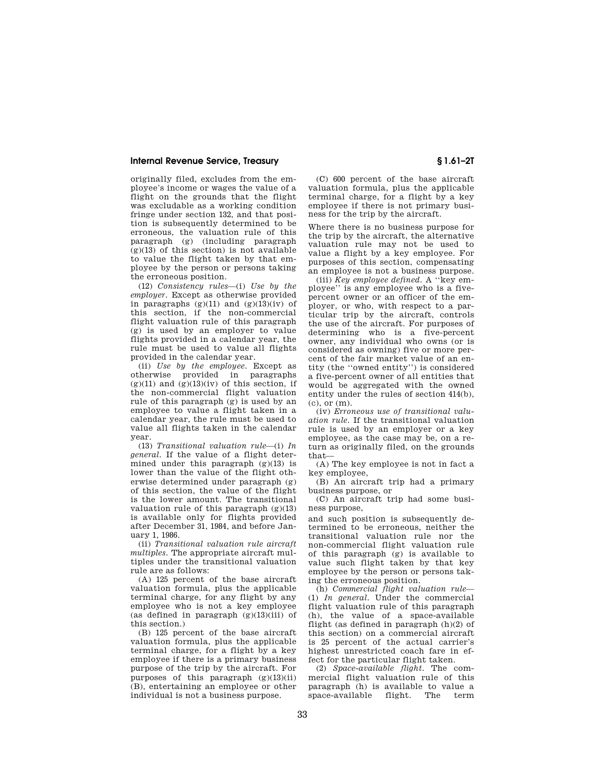originally filed, excludes from the employee's income or wages the value of a flight on the grounds that the flight was excludable as a working condition fringe under section 132, and that position is subsequently determined to be erroneous, the valuation rule of this paragraph (g) (including paragraph  $(g)(13)$  of this section) is not available to value the flight taken by that employee by the person or persons taking the erroneous position.

(12) *Consistency rules*—(i) *Use by the employer.* Except as otherwise provided in paragraphs  $(g)(11)$  and  $(g)(13)(iv)$  of this section, if the non-commercial flight valuation rule of this paragraph (g) is used by an employer to value flights provided in a calendar year, the rule must be used to value all flights provided in the calendar year.

(ii) *Use by the employee.* Except as otherwise provided in paragraphs  $(g)(11)$  and  $(g)(13)(iv)$  of this section, if the non-commercial flight valuation rule of this paragraph (g) is used by an employee to value a flight taken in a calendar year, the rule must be used to value all flights taken in the calendar year.

(13) *Transitional valuation rule*—(i) *In general.* If the value of a flight determined under this paragraph  $(g)(13)$  is lower than the value of the flight otherwise determined under paragraph (g) of this section, the value of the flight is the lower amount. The transitional valuation rule of this paragraph  $(g)(13)$ is available only for flights provided after December 31, 1984, and before January 1, 1986.

(ii) *Transitional valuation rule aircraft multiples.* The appropriate aircraft multiples under the transitional valuation rule are as follows:

(A) 125 percent of the base aircraft valuation formula, plus the applicable terminal charge, for any flight by any employee who is not a key employee (as defined in paragraph  $(g)(13)(iii)$  of this section.)

(B) 125 percent of the base aircraft valuation formula, plus the applicable terminal charge, for a flight by a key employee if there is a primary business purpose of the trip by the aircraft. For purposes of this paragraph (g)(13)(ii) (B), entertaining an employee or other individual is not a business purpose.

(C) 600 percent of the base aircraft valuation formula, plus the applicable terminal charge, for a flight by a key employee if there is not primary business for the trip by the aircraft.

Where there is no business purpose for the trip by the aircraft, the alternative valuation rule may not be used to value a flight by a key employee. For purposes of this section, compensating an employee is not a business purpose.

(iii) *Key employee defined.* A ''key employee'' is any employee who is a fivepercent owner or an officer of the employer, or who, with respect to a particular trip by the aircraft, controls the use of the aircraft. For purposes of determining who is a five-percent owner, any individual who owns (or is considered as owning) five or more percent of the fair market value of an entity (the ''owned entity'') is considered a five-percent owner of all entities that would be aggregated with the owned entity under the rules of section 414(b),  $(c)$ , or  $(m)$ .

(iv) *Erroneous use of transitional valuation rule.* If the transitional valuation rule is used by an employer or a key employee, as the case may be, on a return as originally filed, on the grounds that—

(A) The key employee is not in fact a key employee,

(B) An aircraft trip had a primary business purpose, or

(C) An aircraft trip had some business purpose,

and such position is subsequently determined to be erroneous, neither the transitional valuation rule nor the non-commercial flight valuation rule of this paragraph (g) is available to value such flight taken by that key employee by the person or persons taking the erroneous position.

(h) *Commercial flight valuation rule*— (1) *In general.* Under the commercial flight valuation rule of this paragraph (h), the value of a space-available flight (as defined in paragraph (h)(2) of this section) on a commercial aircraft is 25 percent of the actual carrier's highest unrestricted coach fare in effect for the particular flight taken.

(2) *Space-available flight.* The commercial flight valuation rule of this paragraph (h) is available to value a  $space$ -available flight.